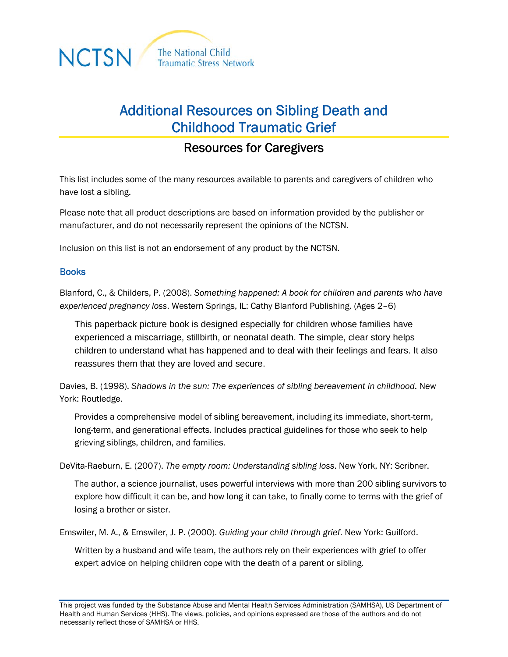

## Additional Resources on Sibling Death and Childhood Traumatic Grief

## Resources for Caregivers

This list includes some of the many resources available to parents and caregivers of children who have lost a sibling.

Please note that all product descriptions are based on information provided by the publisher or manufacturer, and do not necessarily represent the opinions of the NCTSN.

Inclusion on this list is not an endorsement of any product by the NCTSN.

## **Books**

Blanford, C., & Childers, P. (2008). *Something happened: A book for children and parents who have experienced pregnancy loss*. Western Springs, IL: Cathy Blanford Publishing. (Ages 2–6)

This paperback picture book is designed especially for children whose families have experienced a miscarriage, stillbirth, or neonatal death. The simple, clear story helps children to understand what has happened and to deal with their feelings and fears. It also reassures them that they are loved and secure.

Davies, B. (1998). *Shadows in the sun: The experiences of sibling bereavement in childhood*. New York: Routledge.

Provides a comprehensive model of sibling bereavement, including its immediate, short-term, long-term, and generational effects. Includes practical guidelines for those who seek to help grieving siblings, children, and families.

DeVita-Raeburn, E. (2007). *The empty room: Understanding sibling loss*. New York, NY: Scribner.

The author, a science journalist, uses powerful interviews with more than 200 sibling survivors to explore how difficult it can be, and how long it can take, to finally come to terms with the grief of losing a brother or sister.

Emswiler, M. A., & Emswiler, J. P. (2000). *Guiding your child through grief*. New York: Guilford.

Written by a husband and wife team, the authors rely on their experiences with grief to offer expert advice on helping children cope with the death of a parent or sibling.

This project was funded by the Substance Abuse and Mental Health Services Administration (SAMHSA), US Department of Health and Human Services (HHS). The views, policies, and opinions expressed are those of the authors and do not necessarily reflect those of SAMHSA or HHS.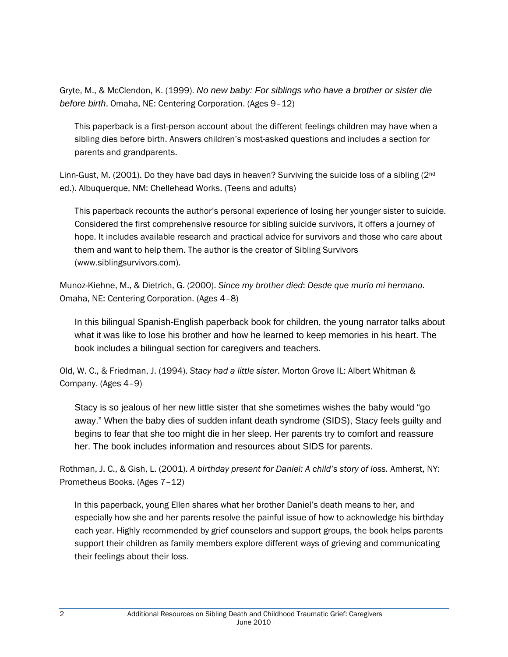Gryte, M., & McClendon, K. (1999). *No new baby: For siblings who have a brother or sister die before birth*. Omaha, NE: Centering Corporation. (Ages 9–12)

This paperback is a first-person account about the different feelings children may have when a sibling dies before birth. Answers children's most-asked questions and includes a section for parents and grandparents.

Linn-Gust, M. (2001). Do they have bad days in heaven? Surviving the suicide loss of a sibling (2<sup>nd</sup>) ed.). Albuquerque, NM: Chellehead Works. (Teens and adults)

This paperback recounts the author's personal experience of losing her younger sister to suicide. Considered the first comprehensive resource for sibling suicide survivors, it offers a journey of hope. It includes available research and practical advice for survivors and those who care about them and want to help them. The author is the creator of Sibling Survivors (www.siblingsurvivors.com).

Munoz-Kiehne, M., & Dietrich, G. (2000). *Since my brother died*: *Desde que murio mi hermano*. Omaha, NE: Centering Corporation. (Ages 4–8)

In this bilingual Spanish-English paperback book for children, the young narrator talks about what it was like to lose his brother and how he learned to keep memories in his heart. The book includes a bilingual section for caregivers and teachers.

Old, W. C., & Friedman, J. (1994). *Stacy had a little sister*. Morton Grove IL: Albert Whitman & Company. (Ages 4–9)

Stacy is so jealous of her new little sister that she sometimes wishes the baby would "go away." When the baby dies of sudden infant death syndrome (SIDS), Stacy feels guilty and begins to fear that she too might die in her sleep. Her parents try to comfort and reassure her. The book includes information and resources about SIDS for parents.

Rothman, J. C., & Gish, L. (2001). *A birthday present for Daniel: A child's story of loss.* Amherst, NY: Prometheus Books. (Ages 7–12)

In this paperback, young Ellen shares what her brother Daniel's death means to her, and especially how she and her parents resolve the painful issue of how to acknowledge his birthday each year. Highly recommended by grief counselors and support groups, the book helps parents support their children as family members explore different ways of grieving and communicating their feelings about their loss.